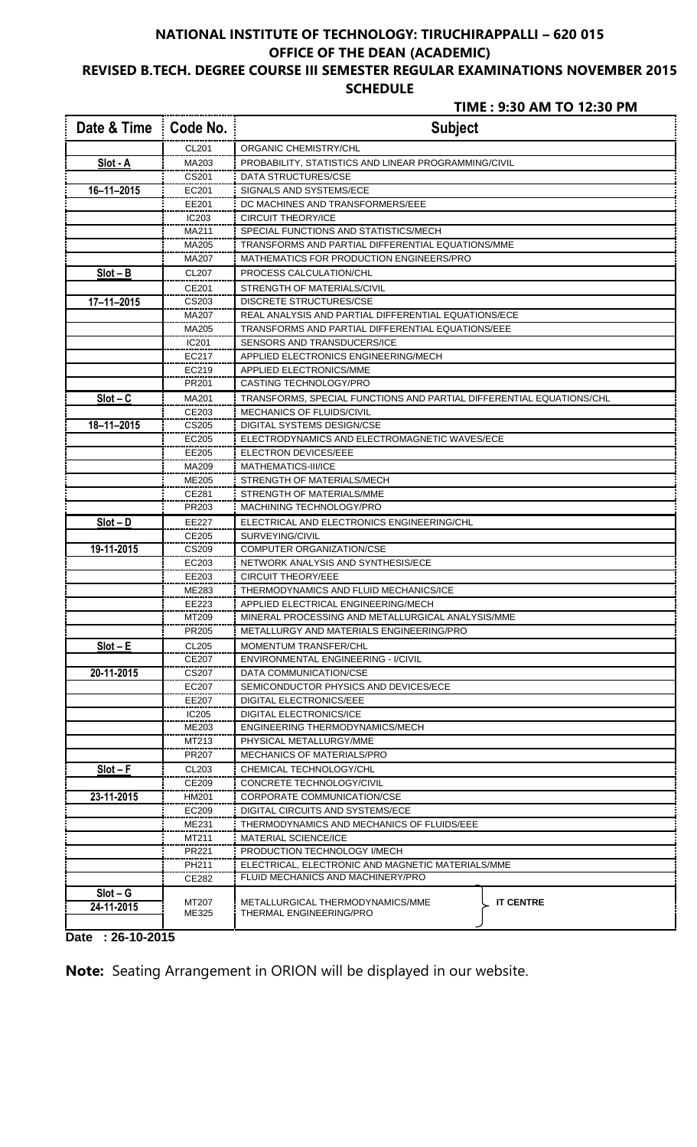## **NATIONAL INSTITUTE OF TECHNOLOGY: TIRUCHIRAPPALLI – 620 015 OFFICE OF THE DEAN (ACADEMIC) REVISED B.TECH. DEGREE COURSE III SEMESTER REGULAR EXAMINATIONS NOVEMBER 2015**

### **SCHEDULE**

## **TIME : 9:30 AM TO 12:30 PM**

| Date & Time      | Code No.          | <b>Subject</b>                                                                  |  |  |  |  |
|------------------|-------------------|---------------------------------------------------------------------------------|--|--|--|--|
|                  | CL201             | ORGANIC CHEMISTRY/CHL                                                           |  |  |  |  |
| Slot - A         | MA203             | PROBABILITY, STATISTICS AND LINEAR PROGRAMMING/CIVIL                            |  |  |  |  |
|                  | CS201             | <b>DATA STRUCTURES/CSE</b>                                                      |  |  |  |  |
| $16 - 11 - 2015$ | EC201             | SIGNALS AND SYSTEMS/ECE                                                         |  |  |  |  |
|                  | EE201             | DC MACHINES AND TRANSFORMERS/EEE                                                |  |  |  |  |
|                  | IC203             | <b>CIRCUIT THEORY/ICE</b>                                                       |  |  |  |  |
|                  | MA211             | SPECIAL FUNCTIONS AND STATISTICS/MECH                                           |  |  |  |  |
|                  | MA205             | TRANSFORMS AND PARTIAL DIFFERENTIAL EQUATIONS/MME                               |  |  |  |  |
|                  | MA207             | MATHEMATICS FOR PRODUCTION ENGINEERS/PRO                                        |  |  |  |  |
| $Slot - B$       | CL207             | PROCESS CALCULATION/CHL                                                         |  |  |  |  |
|                  | CE201             | STRENGTH OF MATERIALS/CIVIL                                                     |  |  |  |  |
| $17 - 11 - 2015$ | CS203             | <b>DISCRETE STRUCTURES/CSE</b>                                                  |  |  |  |  |
|                  | MA207             | REAL ANALYSIS AND PARTIAL DIFFERENTIAL EQUATIONS/ECE                            |  |  |  |  |
|                  | MA205             | TRANSFORMS AND PARTIAL DIFFERENTIAL EQUATIONS/EEE                               |  |  |  |  |
|                  | IC201             | SENSORS AND TRANSDUCERS/ICE                                                     |  |  |  |  |
|                  | EC217             | APPLIED ELECTRONICS ENGINEERING/MECH                                            |  |  |  |  |
|                  | EC219             | APPLIED ELECTRONICS/MME                                                         |  |  |  |  |
|                  | PR201             | CASTING TECHNOLOGY/PRO                                                          |  |  |  |  |
| $Slot - C$       | MA201             | TRANSFORMS, SPECIAL FUNCTIONS AND PARTIAL DIFFERENTIAL EQUATIONS/CHL            |  |  |  |  |
|                  | CE203             | <b>MECHANICS OF FLUIDS/CIVIL</b>                                                |  |  |  |  |
| 18-11-2015       | CS205             | DIGITAL SYSTEMS DESIGN/CSE                                                      |  |  |  |  |
|                  | EC205             | ELECTRODYNAMICS AND ELECTROMAGNETIC WAVES/ECE                                   |  |  |  |  |
|                  | EE205             | ELECTRON DEVICES/EEE                                                            |  |  |  |  |
|                  | MA209             |                                                                                 |  |  |  |  |
|                  | ME205             | MATHEMATICS-III/ICE                                                             |  |  |  |  |
|                  |                   | STRENGTH OF MATERIALS/MECH                                                      |  |  |  |  |
|                  | CE281             | STRENGTH OF MATERIALS/MME                                                       |  |  |  |  |
|                  | PR203             | MACHINING TECHNOLOGY/PRO                                                        |  |  |  |  |
| $Slot - D$       | EE227             | ELECTRICAL AND ELECTRONICS ENGINEERING/CHL                                      |  |  |  |  |
|                  | CE205             | SURVEYING/CIVIL                                                                 |  |  |  |  |
| 19-11-2015       | CS209             | COMPUTER ORGANIZATION/CSE                                                       |  |  |  |  |
|                  | EC203             | NETWORK ANALYSIS AND SYNTHESIS/ECE                                              |  |  |  |  |
|                  | EE203             | <b>CIRCUIT THEORY/EEE</b>                                                       |  |  |  |  |
|                  | ME283             | THERMODYNAMICS AND FLUID MECHANICS/ICE                                          |  |  |  |  |
|                  | EE223             | APPLIED ELECTRICAL ENGINEERING/MECH                                             |  |  |  |  |
|                  | MT209             | MINERAL PROCESSING AND METALLURGICAL ANALYSIS/MME                               |  |  |  |  |
|                  | PR205             | METALLURGY AND MATERIALS ENGINEERING/PRO                                        |  |  |  |  |
| $Slot - E$       | CL205             | <b>MOMENTUM TRANSFER/CHL</b>                                                    |  |  |  |  |
|                  | CE207             | <b>ENVIRONMENTAL ENGINEERING - I/CIVIL</b>                                      |  |  |  |  |
| 20-11-2015       | CS207             | DATA COMMUNICATION/CSE                                                          |  |  |  |  |
|                  | EC207             | SEMICONDUCTOR PHYSICS AND DEVICES/ECE                                           |  |  |  |  |
|                  | EE207             | DIGITAL ELECTRONICS/EEE                                                         |  |  |  |  |
|                  | IC <sub>205</sub> | <b>DIGITAL ELECTRONICS/ICE</b>                                                  |  |  |  |  |
|                  | ME203             | ENGINEERING THERMODYNAMICS/MECH                                                 |  |  |  |  |
|                  | MT213             | PHYSICAL METALLURGY/MME                                                         |  |  |  |  |
|                  | PR207             | <b>MECHANICS OF MATERIALS/PRO</b>                                               |  |  |  |  |
| $Slot - F$       | CL203             | CHEMICAL TECHNOLOGY/CHL                                                         |  |  |  |  |
|                  | CE209             | CONCRETE TECHNOLOGY/CIVIL                                                       |  |  |  |  |
| 23-11-2015       | HM201             | CORPORATE COMMUNICATION/CSE                                                     |  |  |  |  |
|                  | EC209             | DIGITAL CIRCUITS AND SYSTEMS/ECE                                                |  |  |  |  |
|                  | ME231             | THERMODYNAMICS AND MECHANICS OF FLUIDS/EEE                                      |  |  |  |  |
|                  | MT211             | <b>MATERIAL SCIENCE/ICE</b>                                                     |  |  |  |  |
|                  | PR221             | PRODUCTION TECHNOLOGY I/MECH                                                    |  |  |  |  |
|                  | PH211             | ELECTRICAL, ELECTRONIC AND MAGNETIC MATERIALS/MME                               |  |  |  |  |
|                  | CE282             | FLUID MECHANICS AND MACHINERY/PRO                                               |  |  |  |  |
| $Slot - G$       |                   |                                                                                 |  |  |  |  |
| 24-11-2015       | MT207<br>ME325    | <b>IT CENTRE</b><br>METALLURGICAL THERMODYNAMICS/MME<br>THERMAL ENGINEERING/PRO |  |  |  |  |

**Date : 26-10-2015** 

|  |  |  |  | <b>Note:</b> Seating Arrangement in ORION will be displayed in our website. |
|--|--|--|--|-----------------------------------------------------------------------------|
|  |  |  |  |                                                                             |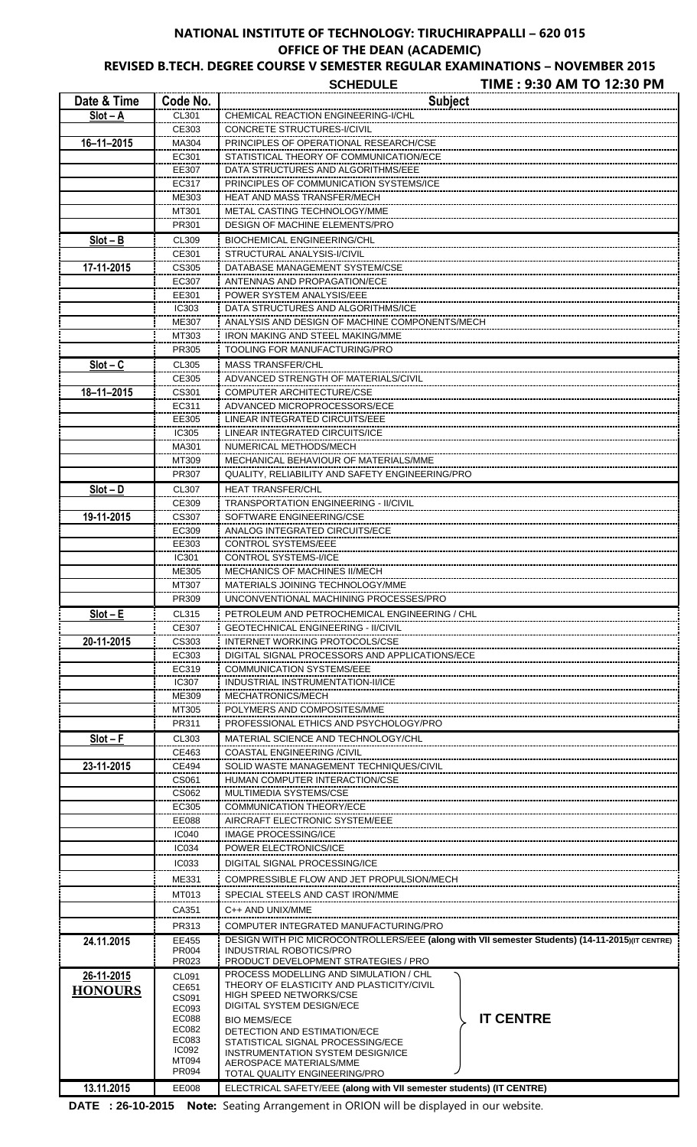# **NATIONAL INSTITUTE OF TECHNOLOGY: TIRUCHIRAPPALLI – 620 015 OFFICE OF THE DEAN (ACADEMIC)**

**REVISED B.TECH. DEGREE COURSE V SEMESTER REGULAR EXAMINATIONS – NOVEMBER 2015**

|                  |                       | TIME: 9:30 AM TO 12:30 PM<br><b>SCHEDULE</b>                                                                                      |  |  |  |
|------------------|-----------------------|-----------------------------------------------------------------------------------------------------------------------------------|--|--|--|
| Date & Time      | Code No.              | <b>Subject</b>                                                                                                                    |  |  |  |
| $Slot - A$       | CL301                 | CHEMICAL REACTION ENGINEERING-I/CHL                                                                                               |  |  |  |
| $16 - 11 - 2015$ | CE303<br>MA304        | CONCRETE STRUCTURES-I/CIVIL<br>PRINCIPLES OF OPERATIONAL RESEARCH/CSE                                                             |  |  |  |
|                  | EC301                 | STATISTICAL THEORY OF COMMUNICATION/ECE                                                                                           |  |  |  |
|                  | EE307                 | DATA STRUCTURES AND ALGORITHMS/EEE                                                                                                |  |  |  |
|                  | EC317                 | PRINCIPLES OF COMMUNICATION SYSTEMS/ICE                                                                                           |  |  |  |
|                  | ME303                 | HEAT AND MASS TRANSFER/MECH                                                                                                       |  |  |  |
|                  | MT301<br>PR301        | METAL CASTING TECHNOLOGY/MME<br>DESIGN OF MACHINE ELEMENTS/PRO                                                                    |  |  |  |
| $Slot - B$       | CL309                 | <b>BIOCHEMICAL ENGINEERING/CHL</b>                                                                                                |  |  |  |
|                  | CE301                 | STRUCTURAL ANALYSIS-I/CIVIL                                                                                                       |  |  |  |
| 17-11-2015       | CS305                 | DATABASE MANAGEMENT SYSTEM/CSE                                                                                                    |  |  |  |
|                  | EC307                 | ANTENNAS AND PROPAGATION/ECE                                                                                                      |  |  |  |
|                  | EE301<br><b>IC303</b> | POWER SYSTEM ANALYSIS/EEE<br>DATA STRUCTURES AND ALGORITHMS/ICE                                                                   |  |  |  |
|                  | ME307                 | ANALYSIS AND DESIGN OF MACHINE COMPONENTS/MECH                                                                                    |  |  |  |
|                  | MT303                 | <b>IRON MAKING AND STEEL MAKING/MME</b>                                                                                           |  |  |  |
|                  | PR305                 | TOOLING FOR MANUFACTURING/PRO                                                                                                     |  |  |  |
| $Slot - C$       | CL305                 | <b>MASS TRANSFER/CHL</b>                                                                                                          |  |  |  |
|                  | CE305                 | ADVANCED STRENGTH OF MATERIALS/CIVIL                                                                                              |  |  |  |
| $18 - 11 - 2015$ | CS301<br>EC311        | <b>COMPUTER ARCHITECTURE/CSE</b><br>ADVANCED MICROPROCESSORS/ECE                                                                  |  |  |  |
|                  | EE305                 | LINEAR INTEGRATED CIRCUITS/EEE                                                                                                    |  |  |  |
|                  | <b>IC305</b>          | LINEAR INTEGRATED CIRCUITS/ICE                                                                                                    |  |  |  |
|                  | MA301                 | NUMERICAL METHODS/MECH                                                                                                            |  |  |  |
|                  | MT309                 | MECHANICAL BEHAVIOUR OF MATERIALS/MME                                                                                             |  |  |  |
|                  | PR307                 | QUALITY, RELIABILITY AND SAFETY ENGINEERING/PRO                                                                                   |  |  |  |
| $Slot - D$       | CL307<br>CE309        | <b>HEAT TRANSFER/CHL</b><br>TRANSPORTATION ENGINEERING - II/CIVIL                                                                 |  |  |  |
| 19-11-2015       | CS307                 | SOFTWARE ENGINEERING/CSE                                                                                                          |  |  |  |
|                  | EC309                 | ANALOG INTEGRATED CIRCUITS/ECE                                                                                                    |  |  |  |
|                  | EE303                 | <b>CONTROL SYSTEMS/EEE</b>                                                                                                        |  |  |  |
|                  | IC301                 | <b>CONTROL SYSTEMS-I/ICE</b>                                                                                                      |  |  |  |
|                  | ME305<br>MT307        | <b>MECHANICS OF MACHINES II/MECH</b><br>MATERIALS JOINING TECHNOLOGY/MME                                                          |  |  |  |
|                  | PR309                 | UNCONVENTIONAL MACHINING PROCESSES/PRO                                                                                            |  |  |  |
| $Slot - E$       | CL315                 | PETROLEUM AND PETROCHEMICAL ENGINEERING / CHL                                                                                     |  |  |  |
|                  | CE307                 | <b>GEOTECHNICAL ENGINEERING - II/CIVIL</b>                                                                                        |  |  |  |
| 20-11-2015       | CS303                 | INTERNET WORKING PROTOCOLS/CSE                                                                                                    |  |  |  |
|                  | EC303<br>EC319        | DIGITAL SIGNAL PROCESSORS AND APPLICATIONS/ECE<br><b>COMMUNICATION SYSTEMS/EEE</b>                                                |  |  |  |
|                  | IC307                 | INDUSTRIAL INSTRUMENTATION-II/ICE                                                                                                 |  |  |  |
|                  | ME309                 | MECHATRONICS/MECH                                                                                                                 |  |  |  |
|                  | MT305                 | POLYMERS AND COMPOSITES/MME                                                                                                       |  |  |  |
|                  | PR311                 | PROFESSIONAL ETHICS AND PSYCHOLOGY/PRO                                                                                            |  |  |  |
| $Slot - F$       | CL303<br>CE463        | MATERIAL SCIENCE AND TECHNOLOGY/CHL<br>COASTAL ENGINEERING /CIVIL                                                                 |  |  |  |
| 23-11-2015       | <b>CE494</b>          | SOLID WASTE MANAGEMENT TECHNIQUES/CIVIL                                                                                           |  |  |  |
|                  | CS061                 | HUMAN COMPUTER INTERACTION/CSE                                                                                                    |  |  |  |
|                  | CS062                 | MULTIMEDIA SYSTEMS/CSE                                                                                                            |  |  |  |
|                  | EC305                 | COMMUNICATION THEORY/ECE                                                                                                          |  |  |  |
|                  | EE088<br>IC040        | AIRCRAFT ELECTRONIC SYSTEM/EEE<br>IMAGE PROCESSING/ICE                                                                            |  |  |  |
|                  | <b>IC034</b>          | POWER ELECTRONICS/ICE                                                                                                             |  |  |  |
|                  | <b>IC033</b>          | DIGITAL SIGNAL PROCESSING/ICE                                                                                                     |  |  |  |
|                  | ME331                 | COMPRESSIBLE FLOW AND JET PROPULSION/MECH                                                                                         |  |  |  |
|                  | MT013                 | SPECIAL STEELS AND CAST IRON/MME                                                                                                  |  |  |  |
|                  | CA351                 | C++ AND UNIX/MME                                                                                                                  |  |  |  |
|                  | PR313                 | COMPUTER INTEGRATED MANUFACTURING/PRO                                                                                             |  |  |  |
| 24.11.2015       | EE455<br>PR004        | DESIGN WITH PIC MICROCONTROLLERS/EEE (along with VII semester Students) (14-11-2015)(IT CENTRE)<br><b>INDUSTRIAL ROBOTICS/PRO</b> |  |  |  |
|                  | PR023                 | PRODUCT DEVELOPMENT STRATEGIES / PRO                                                                                              |  |  |  |
| 26-11-2015       | CL091                 | PROCESS MODELLING AND SIMULATION / CHL<br>THEORY OF ELASTICITY AND PLASTICITY/CIVIL                                               |  |  |  |
| <b>HONOURS</b>   | CE651<br>CS091        | <b>HIGH SPEED NETWORKS/CSE</b>                                                                                                    |  |  |  |
|                  | EC093<br>EC088        | <b>DIGITAL SYSTEM DESIGN/ECE</b><br><b>IT CENTRE</b>                                                                              |  |  |  |
|                  | EC082                 | <b>BIO MEMS/ECE</b><br>DETECTION AND ESTIMATION/ECE                                                                               |  |  |  |
|                  | EC083<br>IC092        | STATISTICAL SIGNAL PROCESSING/ECE                                                                                                 |  |  |  |
|                  | MT094                 | INSTRUMENTATION SYSTEM DESIGN/ICE<br>AEROSPACE MATERIALS/MME                                                                      |  |  |  |
|                  | <b>PR094</b>          | TOTAL QUALITY ENGINEERING/PRO                                                                                                     |  |  |  |
| 13.11.2015       | EE008                 | ELECTRICAL SAFETY/EEE (along with VII semester students) (IT CENTRE)                                                              |  |  |  |

**DATE : 26-10-2015 Note:** Seating Arrangement in ORION will be displayed in our website.